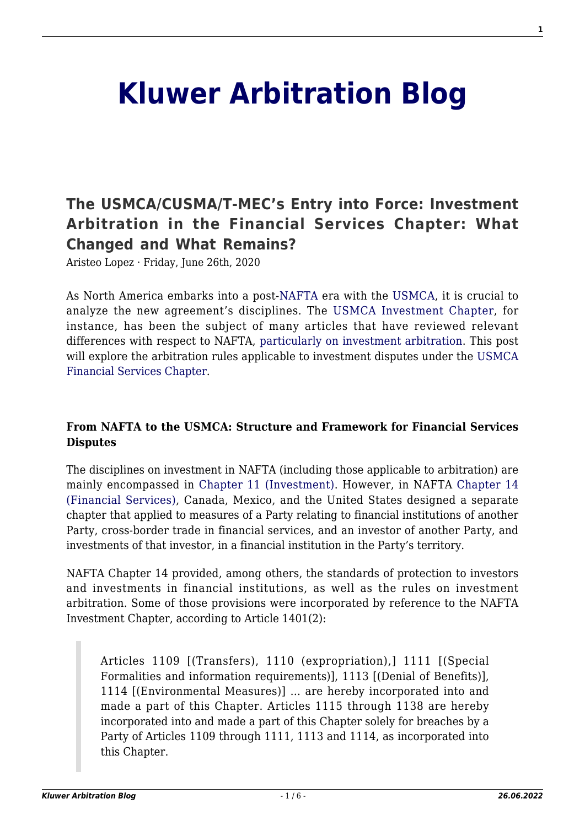# **[Kluwer Arbitration Blog](http://arbitrationblog.kluwerarbitration.com/)**

# **[The USMCA/CUSMA/T-MEC's Entry into Force: Investment](http://arbitrationblog.kluwerarbitration.com/2020/06/26/the-usmca-cusma-t-mecs-entry-into-force-investment-arbitration-in-the-financial-services-chapter-what-changed-and-what-remains/) [Arbitration in the Financial Services Chapter: What](http://arbitrationblog.kluwerarbitration.com/2020/06/26/the-usmca-cusma-t-mecs-entry-into-force-investment-arbitration-in-the-financial-services-chapter-what-changed-and-what-remains/) [Changed and What Remains?](http://arbitrationblog.kluwerarbitration.com/2020/06/26/the-usmca-cusma-t-mecs-entry-into-force-investment-arbitration-in-the-financial-services-chapter-what-changed-and-what-remains/)**

Aristeo Lopez · Friday, June 26th, 2020

As North America embarks into a post[-NAFTA](http://www.sice.oas.org/Trade/NAFTA/NAFTATCE.ASP) era with the [USMCA,](http://www.sice.oas.org/Trade/USMCA/USMCA_ToC_PDF_e.asp) it is crucial to analyze the new agreement's disciplines. The [USMCA Investment Chapter,](http://www.sice.oas.org/Trade/USMCA/English/14Investment.pdf) for instance, has been the subject of many articles that have reviewed relevant differences with respect to NAFTA, [particularly on investment arbitration.](http://arbitrationblog.kluwerarbitration.com/2018/10/05/whats-in-a-name-change-for-investment-claims-under-the-new-usmca-instead-of-nafta-nearly-everything/) This post will explore the arbitration rules applicable to investment disputes under the [USMCA](http://www.sice.oas.org/Trade/USMCA/English/17FinancialServices.pdf) [Financial Services Chapter](http://www.sice.oas.org/Trade/USMCA/English/17FinancialServices.pdf).

#### **From NAFTA to the USMCA: Structure and Framework for Financial Services Disputes**

The disciplines on investment in NAFTA (including those applicable to arbitration) are mainly encompassed in [Chapter 11 \(Investment\).](http://www.sice.oas.org/Trade/NAFTA/chap-111.asp#Chap.XI) However, in NAFTA [Chapter 14](http://www.sice.oas.org/Trade/NAFTA/chap-141.asp#Chap.XIV) [\(Financial Services\)](http://www.sice.oas.org/Trade/NAFTA/chap-141.asp#Chap.XIV), Canada, Mexico, and the United States designed a separate chapter that applied to measures of a Party relating to financial institutions of another Party, cross-border trade in financial services, and an investor of another Party, and investments of that investor, in a financial institution in the Party's territory.

NAFTA Chapter 14 provided, among others, the standards of protection to investors and investments in financial institutions, as well as the rules on investment arbitration. Some of those provisions were incorporated by reference to the NAFTA Investment Chapter, according to Article 1401(2):

Articles 1109 [(Transfers), 1110 (expropriation),] 1111 [(Special Formalities and information requirements)], 1113 [(Denial of Benefits)], 1114 [(Environmental Measures)] … are hereby incorporated into and made a part of this Chapter. Articles 1115 through 1138 are hereby incorporated into and made a part of this Chapter solely for breaches by a Party of Articles 1109 through 1111, 1113 and 1114, as incorporated into this Chapter.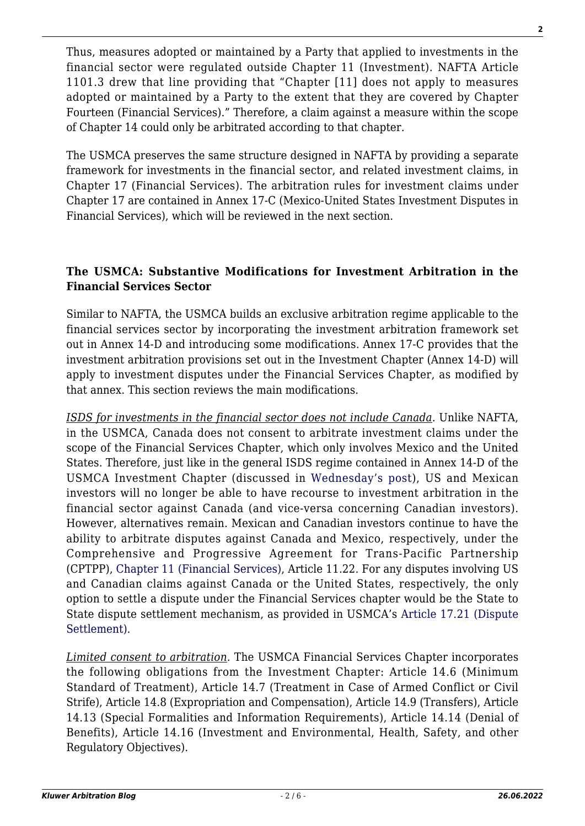Thus, measures adopted or maintained by a Party that applied to investments in the financial sector were regulated outside Chapter 11 (Investment). NAFTA Article 1101.3 drew that line providing that "Chapter [11] does not apply to measures adopted or maintained by a Party to the extent that they are covered by Chapter Fourteen (Financial Services)." Therefore, a claim against a measure within the scope of Chapter 14 could only be arbitrated according to that chapter.

The USMCA preserves the same structure designed in NAFTA by providing a separate framework for investments in the financial sector, and related investment claims, in Chapter 17 (Financial Services). The arbitration rules for investment claims under Chapter 17 are contained in Annex 17-C (Mexico-United States Investment Disputes in Financial Services), which will be reviewed in the next section.

### **The USMCA: Substantive Modifications for Investment Arbitration in the Financial Services Sector**

Similar to NAFTA, the USMCA builds an exclusive arbitration regime applicable to the financial services sector by incorporating the investment arbitration framework set out in Annex 14-D and introducing some modifications. Annex 17-C provides that the investment arbitration provisions set out in the Investment Chapter (Annex 14-D) will apply to investment disputes under the Financial Services Chapter, as modified by that annex. This section reviews the main modifications.

*ISDS for investments in the financial sector does not include Canada.* Unlike NAFTA, in the USMCA, Canada does not consent to arbitrate investment claims under the scope of the Financial Services Chapter, which only involves Mexico and the United States. Therefore, just like in the general ISDS regime contained in Annex 14-D of the USMCA Investment Chapter (discussed in [Wednesday's post](http://arbitrationblog.kluwerarbitration.com/2020/06/24/the-usmca-cusma-t-mecs-entry-into-force-save-the-date-july-1-2023-canada-is-out-legacy-investors-get-your-investment-claims-in/?doing_wp_cron=1593016116.0425159931182861328125)), US and Mexican investors will no longer be able to have recourse to investment arbitration in the financial sector against Canada (and vice-versa concerning Canadian investors). However, alternatives remain. Mexican and Canadian investors continue to have the ability to arbitrate disputes against Canada and Mexico, respectively, under the Comprehensive and Progressive Agreement for Trans-Pacific Partnership (CPTPP), [Chapter 11 \(Financial Services\)](https://www.mfat.govt.nz/assets/Trans-Pacific-Partnership/Text/11.-Financial-Services-Chapter.pdf), Article 11.22. For any disputes involving US and Canadian claims against Canada or the United States, respectively, the only option to settle a dispute under the Financial Services chapter would be the State to State dispute settlement mechanism, as provided in USMCA's [Article 17.21 \(Dispute](https://usmca.com/financial-services-usmca-chapter-17/) [Settlement\).](https://usmca.com/financial-services-usmca-chapter-17/)

*Limited consent to arbitration.* The USMCA Financial Services Chapter incorporates the following obligations from the Investment Chapter: Article 14.6 (Minimum Standard of Treatment), Article 14.7 (Treatment in Case of Armed Conflict or Civil Strife), Article 14.8 (Expropriation and Compensation), Article 14.9 (Transfers), Article 14.13 (Special Formalities and Information Requirements), Article 14.14 (Denial of Benefits), Article 14.16 (Investment and Environmental, Health, Safety, and other Regulatory Objectives).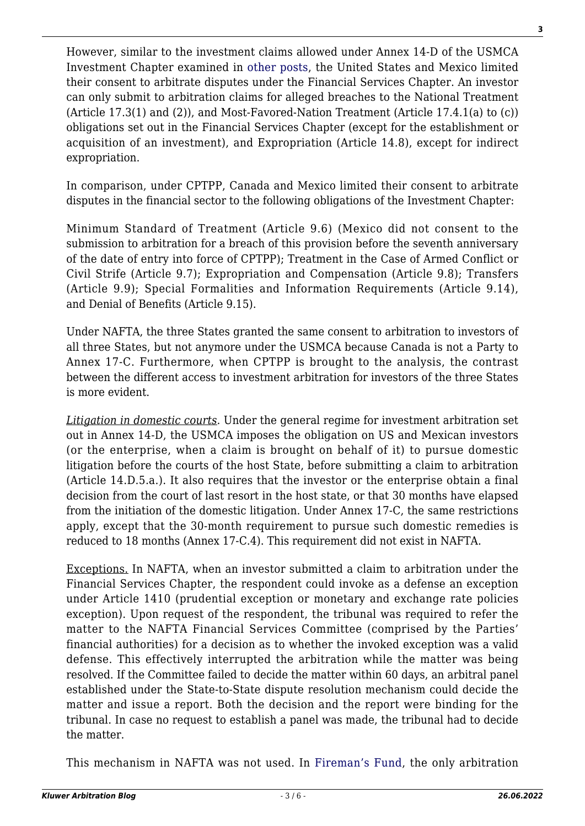However, similar to the investment claims allowed under Annex 14-D of the USMCA Investment Chapter examined in [other posts,](http://arbitrationblog.kluwerarbitration.com/2018/10/05/whats-in-a-name-change-for-investment-claims-under-the-new-usmca-instead-of-nafta-nearly-everything/) the United States and Mexico limited their consent to arbitrate disputes under the Financial Services Chapter. An investor can only submit to arbitration claims for alleged breaches to the National Treatment (Article 17.3(1) and (2)), and Most-Favored-Nation Treatment (Article 17.4.1(a) to (c)) obligations set out in the Financial Services Chapter (except for the establishment or acquisition of an investment), and Expropriation (Article 14.8), except for indirect expropriation.

In comparison, under CPTPP, Canada and Mexico limited their consent to arbitrate disputes in the financial sector to the following obligations of the Investment Chapter:

Minimum Standard of Treatment (Article 9.6) (Mexico did not consent to the submission to arbitration for a breach of this provision before the seventh anniversary of the date of entry into force of CPTPP); Treatment in the Case of Armed Conflict or Civil Strife (Article 9.7); Expropriation and Compensation (Article 9.8); Transfers (Article 9.9); Special Formalities and Information Requirements (Article 9.14), and Denial of Benefits (Article 9.15).

Under NAFTA, the three States granted the same consent to arbitration to investors of all three States, but not anymore under the USMCA because Canada is not a Party to Annex 17-C. Furthermore, when CPTPP is brought to the analysis, the contrast between the different access to investment arbitration for investors of the three States is more evident.

*Litigation in domestic courts*. Under the general regime for investment arbitration set out in Annex 14-D, the USMCA imposes the obligation on US and Mexican investors (or the enterprise, when a claim is brought on behalf of it) to pursue domestic litigation before the courts of the host State, before submitting a claim to arbitration (Article 14.D.5.a.). It also requires that the investor or the enterprise obtain a final decision from the court of last resort in the host state, or that 30 months have elapsed from the initiation of the domestic litigation. Under Annex 17-C, the same restrictions apply, except that the 30-month requirement to pursue such domestic remedies is reduced to 18 months (Annex 17-C.4). This requirement did not exist in NAFTA.

Exceptions. In NAFTA, when an investor submitted a claim to arbitration under the Financial Services Chapter, the respondent could invoke as a defense an exception under Article 1410 (prudential exception or monetary and exchange rate policies exception). Upon request of the respondent, the tribunal was required to refer the matter to the NAFTA Financial Services Committee (comprised by the Parties' financial authorities) for a decision as to whether the invoked exception was a valid defense. This effectively interrupted the arbitration while the matter was being resolved. If the Committee failed to decide the matter within 60 days, an arbitral panel established under the State-to-State dispute resolution mechanism could decide the matter and issue a report. Both the decision and the report were binding for the tribunal. In case no request to establish a panel was made, the tribunal had to decide the matter.

This mechanism in NAFTA was not used. In [Fireman's Fund](https://www.italaw.com/sites/default/files/case-documents/ita0330_0.pdf), the only arbitration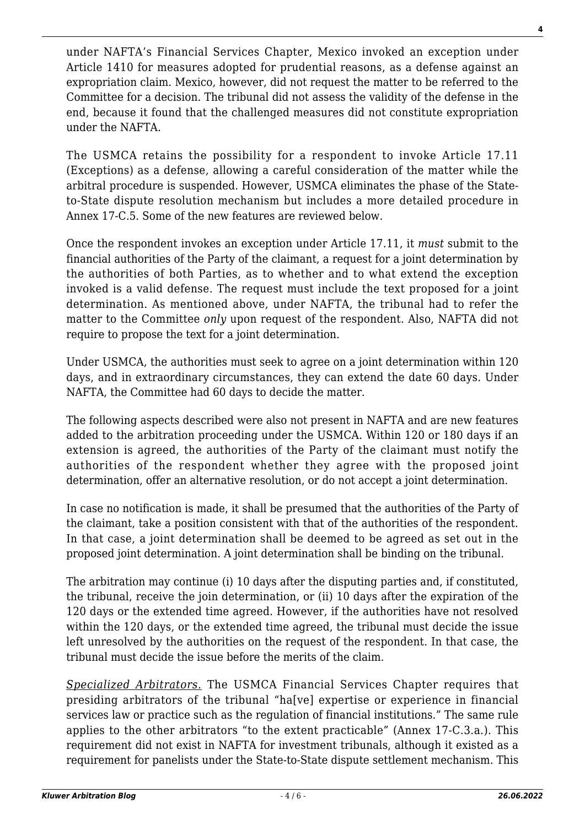under NAFTA's Financial Services Chapter, Mexico invoked an exception under Article 1410 for measures adopted for prudential reasons, as a defense against an expropriation claim. Mexico, however, did not request the matter to be referred to the Committee for a decision. The tribunal did not assess the validity of the defense in the end, because it found that the challenged measures did not constitute expropriation under the NAFTA.

The USMCA retains the possibility for a respondent to invoke Article 17.11 (Exceptions) as a defense, allowing a careful consideration of the matter while the arbitral procedure is suspended. However, USMCA eliminates the phase of the Stateto-State dispute resolution mechanism but includes a more detailed procedure in Annex 17-C.5. Some of the new features are reviewed below.

Once the respondent invokes an exception under Article 17.11, it *must* submit to the financial authorities of the Party of the claimant, a request for a joint determination by the authorities of both Parties, as to whether and to what extend the exception invoked is a valid defense. The request must include the text proposed for a joint determination. As mentioned above, under NAFTA, the tribunal had to refer the matter to the Committee *only* upon request of the respondent. Also, NAFTA did not require to propose the text for a joint determination.

Under USMCA, the authorities must seek to agree on a joint determination within 120 days, and in extraordinary circumstances, they can extend the date 60 days. Under NAFTA, the Committee had 60 days to decide the matter.

The following aspects described were also not present in NAFTA and are new features added to the arbitration proceeding under the USMCA. Within 120 or 180 days if an extension is agreed, the authorities of the Party of the claimant must notify the authorities of the respondent whether they agree with the proposed joint determination, offer an alternative resolution, or do not accept a joint determination.

In case no notification is made, it shall be presumed that the authorities of the Party of the claimant, take a position consistent with that of the authorities of the respondent. In that case, a joint determination shall be deemed to be agreed as set out in the proposed joint determination. A joint determination shall be binding on the tribunal.

The arbitration may continue (i) 10 days after the disputing parties and, if constituted, the tribunal, receive the join determination, or (ii) 10 days after the expiration of the 120 days or the extended time agreed. However, if the authorities have not resolved within the 120 days, or the extended time agreed, the tribunal must decide the issue left unresolved by the authorities on the request of the respondent. In that case, the tribunal must decide the issue before the merits of the claim.

*Specialized Arbitrators.* The USMCA Financial Services Chapter requires that presiding arbitrators of the tribunal "ha[ve] expertise or experience in financial services law or practice such as the regulation of financial institutions." The same rule applies to the other arbitrators "to the extent practicable" (Annex 17-C.3.a.). This requirement did not exist in NAFTA for investment tribunals, although it existed as a requirement for panelists under the State-to-State dispute settlement mechanism. This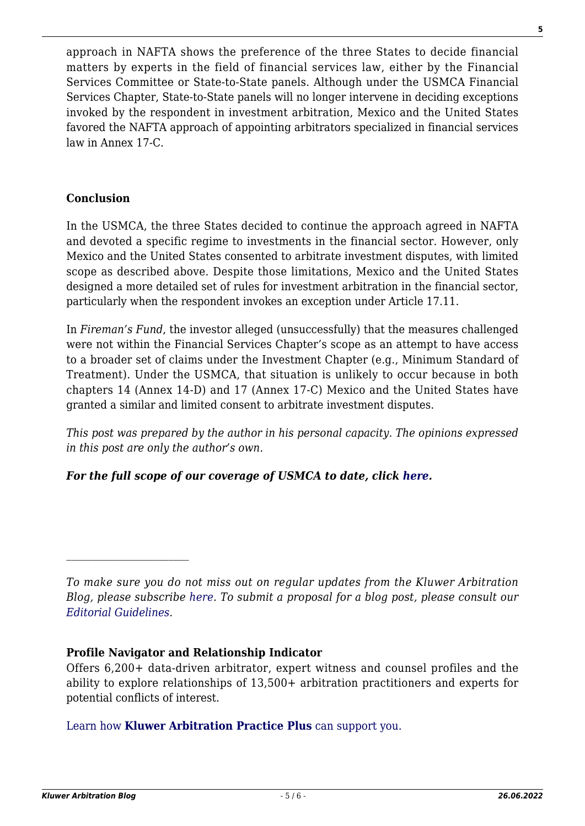approach in NAFTA shows the preference of the three States to decide financial matters by experts in the field of financial services law, either by the Financial Services Committee or State-to-State panels. Although under the USMCA Financial Services Chapter, State-to-State panels will no longer intervene in deciding exceptions invoked by the respondent in investment arbitration, Mexico and the United States favored the NAFTA approach of appointing arbitrators specialized in financial services law in Annex 17-C.

### **Conclusion**

In the USMCA, the three States decided to continue the approach agreed in NAFTA and devoted a specific regime to investments in the financial sector. However, only Mexico and the United States consented to arbitrate investment disputes, with limited scope as described above. Despite those limitations, Mexico and the United States designed a more detailed set of rules for investment arbitration in the financial sector, particularly when the respondent invokes an exception under Article 17.11.

In *Fireman's Fund*, the investor alleged (unsuccessfully) that the measures challenged were not within the Financial Services Chapter's scope as an attempt to have access to a broader set of claims under the Investment Chapter (e.g., Minimum Standard of Treatment). Under the USMCA, that situation is unlikely to occur because in both chapters 14 (Annex 14-D) and 17 (Annex 17-C) Mexico and the United States have granted a similar and limited consent to arbitrate investment disputes.

*This post was prepared by the author in his personal capacity. The opinions expressed in this post are only the author's own.*

## *For the full scope of our coverage of USMCA to date, click [here](http://arbitrationblog.kluwerarbitration.com/category/usmca/?doing_wp_cron=1591675178.5335190296173095703125).*

#### **Profile Navigator and Relationship Indicator**

Offers 6,200+ data-driven arbitrator, expert witness and counsel profiles and the ability to explore relationships of 13,500+ arbitration practitioners and experts for potential conflicts of interest.

[Learn how](https://www.wolterskluwer.com/en/solutions/kluwerarbitration/practiceplus?utm_source=arbitrationblog&utm_medium=articleCTA&utm_campaign=article-banner) **[Kluwer Arbitration Practice Plus](https://www.wolterskluwer.com/en/solutions/kluwerarbitration/practiceplus?utm_source=arbitrationblog&utm_medium=articleCTA&utm_campaign=article-banner)** [can support you.](https://www.wolterskluwer.com/en/solutions/kluwerarbitration/practiceplus?utm_source=arbitrationblog&utm_medium=articleCTA&utm_campaign=article-banner)

*To make sure you do not miss out on regular updates from the Kluwer Arbitration Blog, please subscribe [here](http://arbitrationblog.kluwerarbitration.com/newsletter/). To submit a proposal for a blog post, please consult our [Editorial Guidelines.](http://arbitrationblog.kluwerarbitration.com/editorial-guidelines/)*